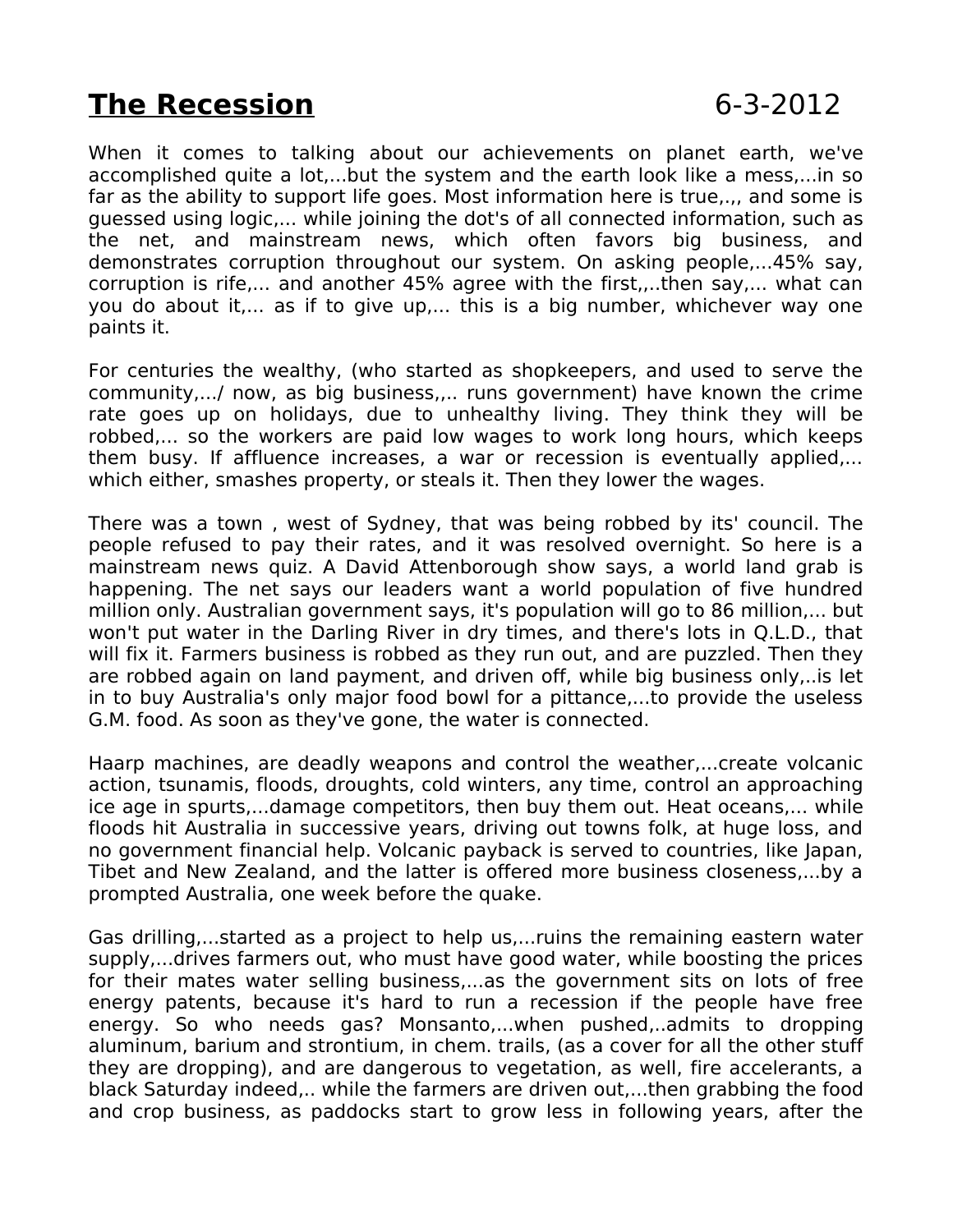## **The Recession** 6-3-2012

When it comes to talking about our achievements on planet earth, we've accomplished quite a lot,...but the system and the earth look like a mess,...in so far as the ability to support life goes. Most information here is true,.,, and some is guessed using logic,... while joining the dot's of all connected information, such as the net, and mainstream news, which often favors big business, and demonstrates corruption throughout our system. On asking people,...45% say, corruption is rife,... and another 45% agree with the first,,..then say,... what can you do about it,... as if to give up,... this is a big number, whichever way one paints it.

For centuries the wealthy, (who started as shopkeepers, and used to serve the community,.../ now, as big business,,.. runs government) have known the crime rate goes up on holidays, due to unhealthy living. They think they will be robbed,... so the workers are paid low wages to work long hours, which keeps them busy. If affluence increases, a war or recession is eventually applied,... which either, smashes property, or steals it. Then they lower the wages.

There was a town , west of Sydney, that was being robbed by its' council. The people refused to pay their rates, and it was resolved overnight. So here is a mainstream news quiz. A David Attenborough show says, a world land grab is happening. The net says our leaders want a world population of five hundred million only. Australian government says, it's population will go to 86 million,... but won't put water in the Darling River in dry times, and there's lots in Q.L.D., that will fix it. Farmers business is robbed as they run out, and are puzzled. Then they are robbed again on land payment, and driven off, while big business only,..is let in to buy Australia's only major food bowl for a pittance,...to provide the useless G.M. food. As soon as they've gone, the water is connected.

Haarp machines, are deadly weapons and control the weather,...create volcanic action, tsunamis, floods, droughts, cold winters, any time, control an approaching ice age in spurts,...damage competitors, then buy them out. Heat oceans,... while floods hit Australia in successive years, driving out towns folk, at huge loss, and no government financial help. Volcanic payback is served to countries, like Japan, Tibet and New Zealand, and the latter is offered more business closeness,...by a prompted Australia, one week before the quake.

Gas drilling,...started as a project to help us,...ruins the remaining eastern water supply,...drives farmers out, who must have good water, while boosting the prices for their mates water selling business,...as the government sits on lots of free energy patents, because it's hard to run a recession if the people have free energy. So who needs gas? Monsanto,...when pushed,..admits to dropping aluminum, barium and strontium, in chem. trails, (as a cover for all the other stuff they are dropping), and are dangerous to vegetation, as well, fire accelerants, a black Saturday indeed,.. while the farmers are driven out,...then grabbing the food and crop business, as paddocks start to grow less in following years, after the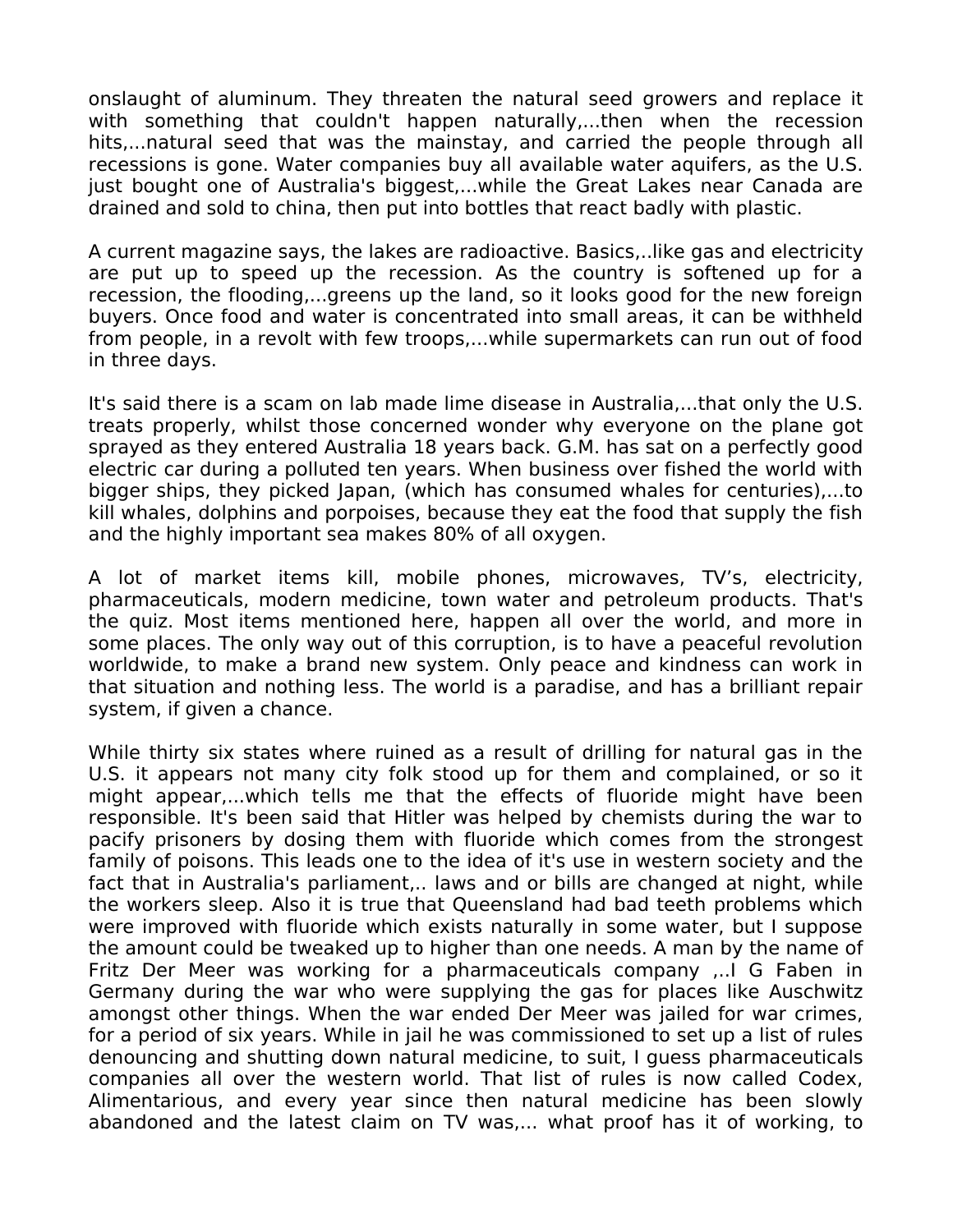onslaught of aluminum. They threaten the natural seed growers and replace it with something that couldn't happen naturally,...then when the recession hits,...natural seed that was the mainstay, and carried the people through all recessions is gone. Water companies buy all available water aquifers, as the U.S. just bought one of Australia's biggest,...while the Great Lakes near Canada are drained and sold to china, then put into bottles that react badly with plastic.

A current magazine says, the lakes are radioactive. Basics,..like gas and electricity are put up to speed up the recession. As the country is softened up for a recession, the flooding,...greens up the land, so it looks good for the new foreign buyers. Once food and water is concentrated into small areas, it can be withheld from people, in a revolt with few troops,...while supermarkets can run out of food in three days.

It's said there is a scam on lab made lime disease in Australia,...that only the U.S. treats properly, whilst those concerned wonder why everyone on the plane got sprayed as they entered Australia 18 years back. G.M. has sat on a perfectly good electric car during a polluted ten years. When business over fished the world with bigger ships, they picked Japan, (which has consumed whales for centuries),...to kill whales, dolphins and porpoises, because they eat the food that supply the fish and the highly important sea makes 80% of all oxygen.

A lot of market items kill, mobile phones, microwaves, TV's, electricity, pharmaceuticals, modern medicine, town water and petroleum products. That's the quiz. Most items mentioned here, happen all over the world, and more in some places. The only way out of this corruption, is to have a peaceful revolution worldwide, to make a brand new system. Only peace and kindness can work in that situation and nothing less. The world is a paradise, and has a brilliant repair system, if given a chance.

While thirty six states where ruined as a result of drilling for natural gas in the U.S. it appears not many city folk stood up for them and complained, or so it might appear,...which tells me that the effects of fluoride might have been responsible. It's been said that Hitler was helped by chemists during the war to pacify prisoners by dosing them with fluoride which comes from the strongest family of poisons. This leads one to the idea of it's use in western society and the fact that in Australia's parliament,.. laws and or bills are changed at night, while the workers sleep. Also it is true that Queensland had bad teeth problems which were improved with fluoride which exists naturally in some water, but I suppose the amount could be tweaked up to higher than one needs. A man by the name of Fritz Der Meer was working for a pharmaceuticals company ,..I G Faben in Germany during the war who were supplying the gas for places like Auschwitz amongst other things. When the war ended Der Meer was jailed for war crimes, for a period of six years. While in jail he was commissioned to set up a list of rules denouncing and shutting down natural medicine, to suit, I guess pharmaceuticals companies all over the western world. That list of rules is now called Codex, Alimentarious, and every year since then natural medicine has been slowly abandoned and the latest claim on TV was,... what proof has it of working, to